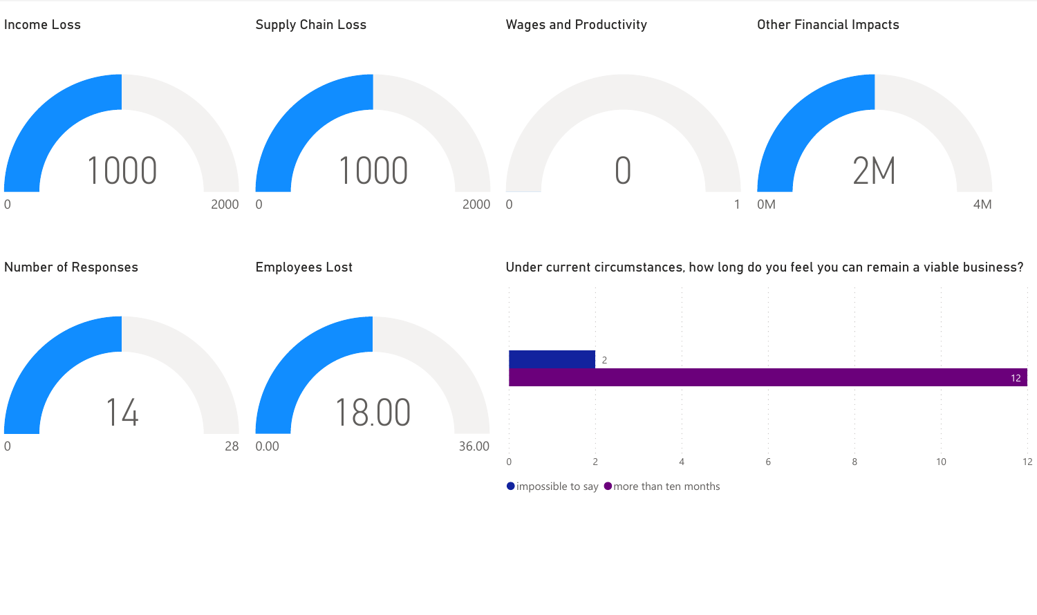

 $\bullet$  impossible to say  $\bullet$  more than ten months